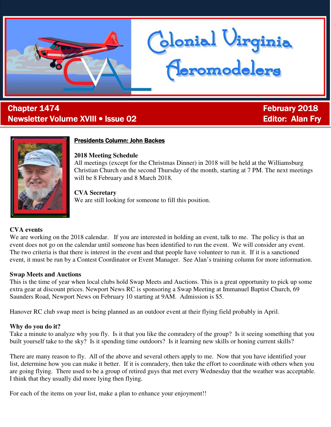

# ī **Chapter 1474 Chapter 1474 February 2018** Newsletter Volume XVIII • Issue 02 **Editor: Alan Fry Fry Fry Fry Fry Fry Fry** Fry Fry Fry Fry Fry Fry Fry Fry Fry



### Presidents Column: John Backes

#### **2018 Meeting Schedule**

All meetings (except for the Christmas Dinner) in 2018 will be held at the Williamsburg Christian Church on the second Thursday of the month, starting at 7 PM. The next meetings will be 8 February and 8 March 2018.

donial Virginia<br><del>(Ieromodelers</del>

#### **CVA Secretary**

We are still looking for someone to fill this position.

#### **CVA events**

We are working on the 2018 calendar. If you are interested in holding an event, talk to me. The policy is that an event does not go on the calendar until someone has been identified to run the event. We will consider any event. The two criteria is that there is interest in the event and that people have volunteer to run it. If it is a sanctioned event, it must be run by a Contest Coordinator or Event Manager. See Alan's training column for more information.

#### **Swap Meets and Auctions**

This is the time of year when local clubs hold Swap Meets and Auctions. This is a great opportunity to pick up some extra gear at discount prices. Newport News RC is sponsoring a Swap Meeting at Immanuel Baptist Church, 69 Saunders Road, Newport News on February 10 starting at 9AM. Admission is \$5.

Hanover RC club swap meet is being planned as an outdoor event at their flying field probably in April.

#### **Why do you do it?**

Take a minute to analyze why you fly. Is it that you like the comradery of the group? Is it seeing something that you built yourself take to the sky? Is it spending time outdoors? Is it learning new skills or honing current skills?

There are many reason to fly. All of the above and several others apply to me. Now that you have identified your list, determine how you can make it better. If it is comradery, then take the effort to coordinate with others when you are going flying. There used to be a group of retired guys that met every Wednesday that the weather was acceptable. I think that they usually did more lying then flying.

For each of the items on your list, make a plan to enhance your enjoyment!!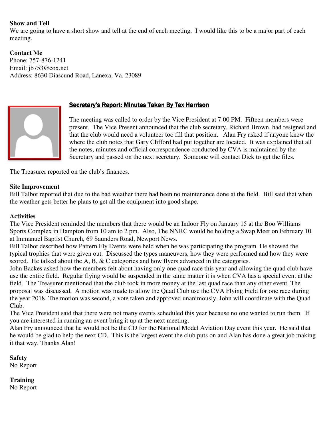#### **Show and Tell**

We are going to have a short show and tell at the end of each meeting. I would like this to be a major part of each meeting.

**Contact Me**  Phone: 757-876-1241 Email: jb753@cox.net Address: 8630 Diascund Road, Lanexa, Va. 23089



### Secretary's Report: Minutes Taken By Tex Harrison

The meeting was called to order by the Vice President at 7:00 PM. Fifteen members were present. The Vice Present announced that the club secretary, Richard Brown, had resigned and that the club would need a volunteer too fill that position. Alan Fry asked if anyone knew the where the club notes that Gary Clifford had put together are located. It was explained that all the notes, minutes and official correspondence conducted by CVA is maintained by the Secretary and passed on the next secretary. Someone will contact Dick to get the files.

The Treasurer reported on the club's finances.

#### **Site Improvement**

Bill Talbot reported that due to the bad weather there had been no maintenance done at the field. Bill said that when the weather gets better he plans to get all the equipment into good shape.

#### **Activities**

The Vice President reminded the members that there would be an Indoor Fly on January 15 at the Boo Williams Sports Complex in Hampton from 10 am to 2 pm. Also, The NNRC would be holding a Swap Meet on February 10 at Immanuel Baptist Church, 69 Saunders Road, Newport News.

Bill Talbot described how Pattern Fly Events were held when he was participating the program. He showed the typical trophies that were given out. Discussed the types maneuvers, how they were performed and how they were scored. He talked about the A, B, & C categories and how flyers advanced in the categories.

John Backes asked how the members felt about having only one quad race this year and allowing the quad club have use the entire field. Regular flying would be suspended in the same matter it is when CVA has a special event at the field. The Treasurer mentioned that the club took in more money at the last quad race than any other event. The proposal was discussed. A motion was made to allow the Quad Club use the CVA Flying Field for one race during the year 2018. The motion was second, a vote taken and approved unanimously. John will coordinate with the Quad Club.

The Vice President said that there were not many events scheduled this year because no one wanted to run them. If you are interested in running an event bring it up at the next meeting.

Alan Fry announced that he would not be the CD for the National Model Aviation Day event this year. He said that he would be glad to help the next CD. This is the largest event the club puts on and Alan has done a great job making it that way. Thanks Alan!

**Safety**  No Report

**Training** 

No Report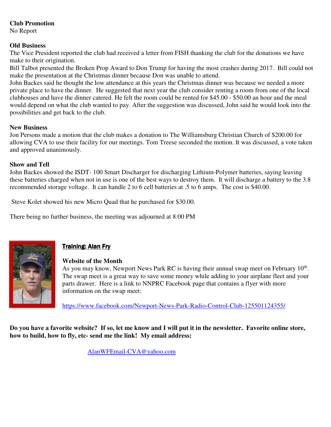## **Club Promotion**

No Report

#### **Old Business**

The Vice President reported the club had received a letter from FISH thanking the club for the donations we have make to their origination.

Bill Talbot presented the Broken Prop Award to Don Trump for having the most crashes during 2017. Bill could not make the presentation at the Christmas dinner because Don was unable to attend.

John Backes said he thought the low attendance at this years the Christmas dinner was because we needed a more private place to have the dinner. He suggested that next year the club consider renting a room from one of the local clubhouses and have the dinner catered. He felt the room could be rented for \$45.00 - \$50.00 an hour and the meal would depend on what the club wanted to pay. After the suggestion was discussed, John said he would look into the possibilities and get back to the club.

### **New Business**

Jon Persons made a motion that the club makes a donation to The Williamsburg Christian Church of \$200.00 for allowing CVA to use their facility for our meetings. Tom Treese seconded the motion. It was discussed, a vote taken and approved unanimously.

### **Show and Tell**

John Backes showed the ISDT- 100 Smart Discharger for discharging Lithium-Polymer batteries, saying leaving these batteries charged when not in use is one of the best ways to destroy them. It will discharge a battery to the 3.8 recommended storage voltage. It can handle 2 to 6 cell batteries at .5 to 6 amps. The cost is \$40.00.

Steve Kolet showed his new Micro Quad that he purchased for \$30.00.

There being no further business, the meeting was adjourned at 8:00 PM



# **Training: Alan Fry**

## **Website of the Month**

As you may know, Newport News Park RC is having their annual swap meet on February 10<sup>th</sup>. The swap meet is a great way to save some money while adding to your airplane fleet and your parts drawer. Here is a link to NNPRC Facebook page that contains a flyer with more information on the swap meet:

https://www.facebook.com/Newport-News-Park-Radio-Control-Club-125501124355/

**Do you have a favorite website? If so, let me know and I will put it in the newsletter. Favorite online store, how to build, how to fly, etc- send me the link! My email address:** 

AlanWFEmail-CVA@yahoo.com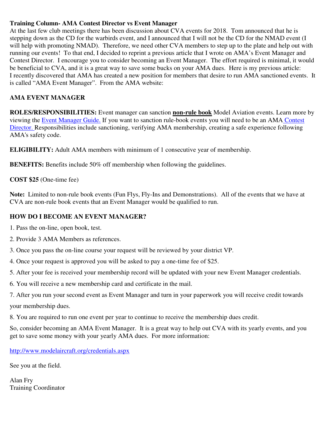#### **Training Column- AMA Contest Director vs Event Manager**

At the last few club meetings there has been discussion about CVA events for 2018. Tom announced that he is stepping down as the CD for the warbirds event, and I announced that I will not be the CD for the NMAD event (I will help with promoting NMAD). Therefore, we need other CVA members to step up to the plate and help out with running our events! To that end, I decided to reprint a previous article that I wrote on AMA's Event Manager and Contest Director. I encourage you to consider becoming an Event Manager. The effort required is minimal, it would be beneficial to CVA, and it is a great way to save some bucks on your AMA dues. Here is my previous article: I recently discovered that AMA has created a new position for members that desire to run AMA sanctioned events. It is called "AMA Event Manager". From the AMA website:

# **AMA EVENT MANAGER**

**ROLES/RESPONSIBILITIES:** Event manager can sanction **non-rule book** Model Aviation events. Learn more by viewing the Event Manager Guide. If you want to sanction rule-book events you will need to be an AMA Contest Director. Responsibilities include sanctioning, verifying AMA membership, creating a safe experience following AMA's safety code.

**ELIGIBILITY:** Adult AMA members with minimum of 1 consecutive year of membership.

**BENEFITS:** Benefits include 50% off membership when following the guidelines.

### **COST \$25** (One-time fee)

**Note:** Limited to non-rule book events (Fun Flys, Fly-Ins and Demonstrations). All of the events that we have at CVA are non-rule book events that an Event Manager would be qualified to run.

## **HOW DO I BECOME AN EVENT MANAGER?**

- 1. Pass the on-line, open book, test.
- 2. Provide 3 AMA Members as references.
- 3. Once you pass the on-line course your request will be reviewed by your district VP.
- 4. Once your request is approved you will be asked to pay a one-time fee of \$25.
- 5. After your fee is received your membership record will be updated with your new Event Manager credentials.
- 6. You will receive a new membership card and certificate in the mail.
- 7. After you run your second event as Event Manager and turn in your paperwork you will receive credit towards your membership dues.
- 8. You are required to run one event per year to continue to receive the membership dues credit.

So, consider becoming an AMA Event Manager. It is a great way to help out CVA with its yearly events, and you get to save some money with your yearly AMA dues. For more information:

http://www.modelaircraft.org/credentials.aspx

See you at the field.

Alan Fry Training Coordinator